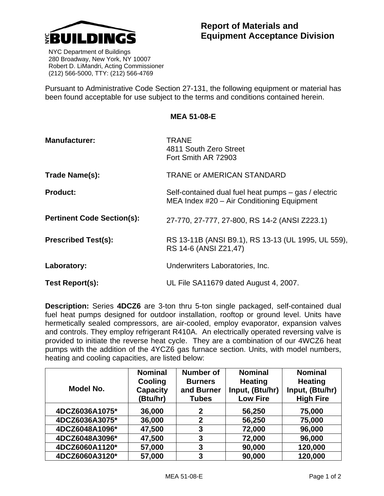

 NYC Department of Buildings 280 Broadway, New York, NY 10007 Robert D. LiMandri, Acting Commissioner (212) 566-5000, TTY: (212) 566-4769

Pursuant to Administrative Code Section 27-131, the following equipment or material has been found acceptable for use subject to the terms and conditions contained herein.

**MEA 51-08-E** 

| <b>Manufacturer:</b>              | <b>TRANE</b><br>4811 South Zero Street<br>Fort Smith AR 72903                                      |  |  |
|-----------------------------------|----------------------------------------------------------------------------------------------------|--|--|
| Trade Name(s):                    | <b>TRANE or AMERICAN STANDARD</b>                                                                  |  |  |
| <b>Product:</b>                   | Self-contained dual fuel heat pumps – gas / electric<br>MEA Index #20 - Air Conditioning Equipment |  |  |
| <b>Pertinent Code Section(s):</b> | 27-770, 27-777, 27-800, RS 14-2 (ANSI Z223.1)                                                      |  |  |
| <b>Prescribed Test(s):</b>        | RS 13-11B (ANSI B9.1), RS 13-13 (UL 1995, UL 559),<br>RS 14-6 (ANSI Z21,47)                        |  |  |
| Laboratory:                       | Underwriters Laboratories, Inc.                                                                    |  |  |
| Test Report(s):                   | UL File SA11679 dated August 4, 2007.                                                              |  |  |

**Description:** Series **4DCZ6** are 3-ton thru 5-ton single packaged, self-contained dual fuel heat pumps designed for outdoor installation, rooftop or ground level. Units have hermetically sealed compressors, are air-cooled, employ evaporator, expansion valves and controls. They employ refrigerant R410A. An electrically operated reversing valve is provided to initiate the reverse heat cycle. They are a combination of our 4WCZ6 heat pumps with the addition of the 4YCZ6 gas furnace section. Units, with model numbers, heating and cooling capacities, are listed below:

| Model No.      | <b>Nominal</b><br>Cooling<br><b>Capacity</b> | <b>Number of</b><br><b>Burners</b><br>and Burner | <b>Nominal</b><br><b>Heating</b><br>Input, (Btu/hr) | <b>Nominal</b><br><b>Heating</b><br>Input, (Btu/hr) |
|----------------|----------------------------------------------|--------------------------------------------------|-----------------------------------------------------|-----------------------------------------------------|
|                | (Btu/hr)                                     | <b>Tubes</b>                                     | <b>Low Fire</b>                                     | <b>High Fire</b>                                    |
| 4DCZ6036A1075* | 36,000                                       | 2                                                | 56,250                                              | 75,000                                              |
| 4DCZ6036A3075* | 36,000                                       | 2                                                | 56,250                                              | 75,000                                              |
| 4DCZ6048A1096* | 47,500                                       | 3                                                | 72,000                                              | 96,000                                              |
| 4DCZ6048A3096* | 47,500                                       | 3                                                | 72,000                                              | 96,000                                              |
| 4DCZ6060A1120* | 57,000                                       | 3                                                | 90,000                                              | 120,000                                             |
| 4DCZ6060A3120* | 57,000                                       | 3                                                | 90,000                                              | 120,000                                             |